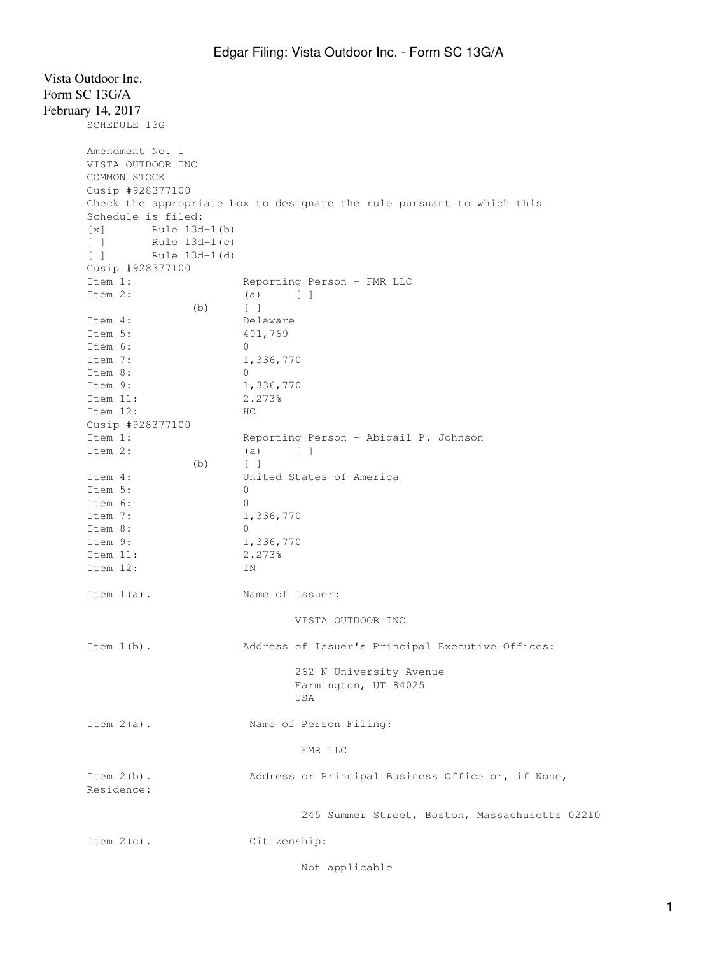| Vista Outdoor Inc.<br>Form SC 13G/A<br>February 14, 2017<br>SCHEDULE 13G |               |                                                                        |
|--------------------------------------------------------------------------|---------------|------------------------------------------------------------------------|
| Amendment No. 1<br>VISTA OUTDOOR INC<br>COMMON STOCK<br>Cusip #928377100 |               |                                                                        |
|                                                                          |               | Check the appropriate box to designate the rule pursuant to which this |
| Schedule is filed:<br>$\lceil x \rceil$                                  | Rule 13d-1(b) |                                                                        |
| $\Box$                                                                   | Rule 13d-1(c) |                                                                        |
| $\begin{bmatrix} 1 \end{bmatrix}$                                        | Rule 13d-1(d) |                                                                        |
| Cusip #928377100                                                         |               |                                                                        |
| Item 1:                                                                  |               | Reporting Person - FMR LLC                                             |
| Item 2:                                                                  | (b)           | (a)<br>$\Box$<br>$\lceil \cdot \rceil$                                 |
| Item 4:                                                                  |               | Delaware                                                               |
| Item 5:                                                                  |               | 401,769                                                                |
| Item 6:                                                                  |               | 0                                                                      |
| Item 7:                                                                  |               | 1,336,770                                                              |
| Item 8:                                                                  |               | 0                                                                      |
| Item 9:                                                                  |               | 1,336,770                                                              |
| Item 11:                                                                 |               | 2.273%                                                                 |
| Item 12:                                                                 |               | HC.                                                                    |
| Cusip #928377100                                                         |               |                                                                        |
| Item 1:                                                                  |               | Reporting Person - Abigail P. Johnson                                  |
| Item 2:                                                                  |               | (a)<br>$\Box$                                                          |
|                                                                          | (b)           | $\sqrt{1}$                                                             |
| Item 4:                                                                  |               | United States of America                                               |
| Item 5:                                                                  |               | 0                                                                      |
| Item 6:                                                                  |               | 0                                                                      |
| Item 7:                                                                  |               | 1,336,770                                                              |
| Item 8:                                                                  |               | 0                                                                      |
| Item 9:                                                                  |               | 1,336,770                                                              |
| Item 11:                                                                 |               | 2.273%                                                                 |
| Item 12:                                                                 |               | ΙN                                                                     |
| Item $1(a)$ .                                                            |               | Name of Issuer:                                                        |
|                                                                          |               | VISTA OUTDOOR INC                                                      |
|                                                                          |               |                                                                        |
| Item $1(b)$ .                                                            |               | Address of Issuer's Principal Executive Offices:                       |
|                                                                          |               | 262 N University Avenue<br>Farmington, UT 84025<br>USA                 |
| Item $2(a)$ .                                                            |               | Name of Person Filing:                                                 |
|                                                                          |               | FMR LLC                                                                |
| Item $2(b)$ .<br>Residence:                                              |               | Address or Principal Business Office or, if None,                      |
|                                                                          |               | 245 Summer Street, Boston, Massachusetts 02210                         |
| Item $2(c)$ .                                                            |               | Citizenship:                                                           |
|                                                                          |               | Not applicable                                                         |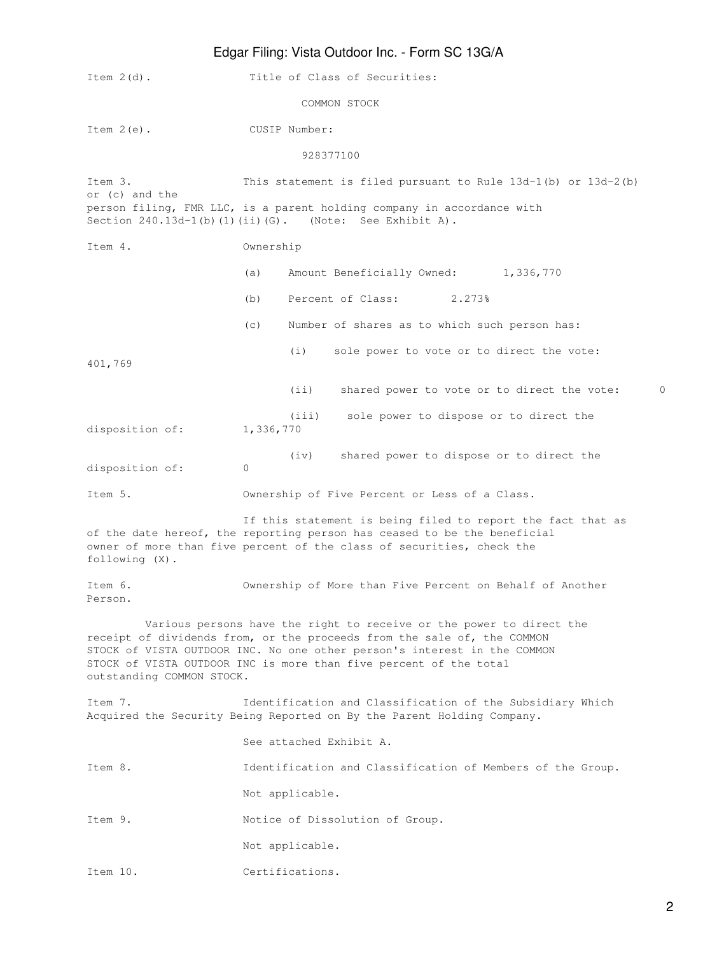## Edgar Filing: Vista Outdoor Inc. - Form SC 13G/A

| Item $2(d)$ .             | Title of Class of Securities:                                                                                                                                                                                                                                                                    |  |  |
|---------------------------|--------------------------------------------------------------------------------------------------------------------------------------------------------------------------------------------------------------------------------------------------------------------------------------------------|--|--|
|                           | COMMON STOCK                                                                                                                                                                                                                                                                                     |  |  |
| Item $2(e)$ .             | CUSIP Number:                                                                                                                                                                                                                                                                                    |  |  |
|                           | 928377100                                                                                                                                                                                                                                                                                        |  |  |
| Item 3.<br>or (c) and the | This statement is filed pursuant to Rule $13d-1$ (b) or $13d-2$ (b)                                                                                                                                                                                                                              |  |  |
|                           | person filing, FMR LLC, is a parent holding company in accordance with<br>Section $240.13d-1(b) (1) (ii) (G)$ . (Note: See Exhibit A).                                                                                                                                                           |  |  |
| Item 4.                   | Ownership                                                                                                                                                                                                                                                                                        |  |  |
|                           | Amount Beneficially Owned: 1,336,770<br>(a)                                                                                                                                                                                                                                                      |  |  |
|                           | Percent of Class:<br>2.273%<br>(b)                                                                                                                                                                                                                                                               |  |  |
|                           | (C)<br>Number of shares as to which such person has:                                                                                                                                                                                                                                             |  |  |
| 401,769                   | (i)<br>sole power to vote or to direct the vote:                                                                                                                                                                                                                                                 |  |  |
|                           | (i)<br>shared power to vote or to direct the vote:<br>$\Omega$                                                                                                                                                                                                                                   |  |  |
| disposition of:           | (iii)<br>sole power to dispose or to direct the<br>1,336,770                                                                                                                                                                                                                                     |  |  |
| disposition of:           | shared power to dispose or to direct the<br>(iv)<br>$\mathbf{0}$                                                                                                                                                                                                                                 |  |  |
| Item 5.                   | Ownership of Five Percent or Less of a Class.                                                                                                                                                                                                                                                    |  |  |
| following (X).            | If this statement is being filed to report the fact that as<br>of the date hereof, the reporting person has ceased to be the beneficial<br>owner of more than five percent of the class of securities, check the                                                                                 |  |  |
| Item 6.<br>Person.        | Ownership of More than Five Percent on Behalf of Another                                                                                                                                                                                                                                         |  |  |
| outstanding COMMON STOCK. | Various persons have the right to receive or the power to direct the<br>receipt of dividends from, or the proceeds from the sale of, the COMMON<br>STOCK of VISTA OUTDOOR INC. No one other person's interest in the COMMON<br>STOCK of VISTA OUTDOOR INC is more than five percent of the total |  |  |
| Item 7.                   | Identification and Classification of the Subsidiary Which<br>Acquired the Security Being Reported on By the Parent Holding Company.                                                                                                                                                              |  |  |
|                           | See attached Exhibit A.                                                                                                                                                                                                                                                                          |  |  |
| Item 8.                   | Identification and Classification of Members of the Group.                                                                                                                                                                                                                                       |  |  |
|                           | Not applicable.                                                                                                                                                                                                                                                                                  |  |  |
| Item 9.                   | Notice of Dissolution of Group.                                                                                                                                                                                                                                                                  |  |  |
|                           | Not applicable.                                                                                                                                                                                                                                                                                  |  |  |
| Item 10.                  | Certifications.                                                                                                                                                                                                                                                                                  |  |  |
|                           |                                                                                                                                                                                                                                                                                                  |  |  |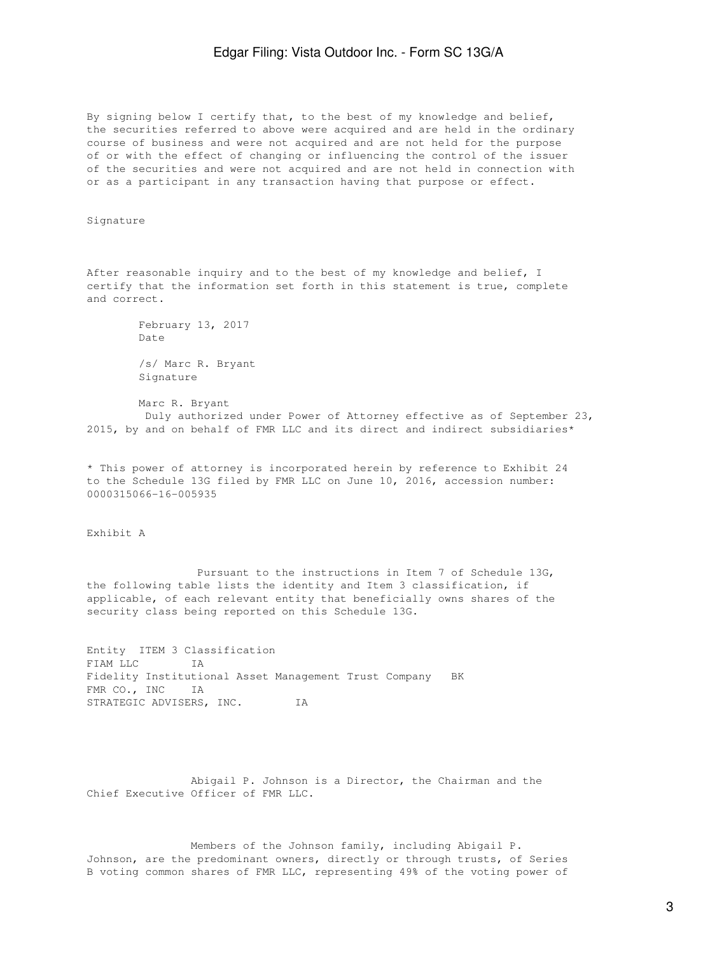By signing below I certify that, to the best of my knowledge and belief, the securities referred to above were acquired and are held in the ordinary course of business and were not acquired and are not held for the purpose of or with the effect of changing or influencing the control of the issuer of the securities and were not acquired and are not held in connection with or as a participant in any transaction having that purpose or effect.

Signature

After reasonable inquiry and to the best of my knowledge and belief, I certify that the information set forth in this statement is true, complete and correct.

> February 13, 2017 Date /s/ Marc R. Bryant Signature

 Marc R. Bryant Duly authorized under Power of Attorney effective as of September 23, 2015, by and on behalf of FMR LLC and its direct and indirect subsidiaries\*

\* This power of attorney is incorporated herein by reference to Exhibit 24 to the Schedule 13G filed by FMR LLC on June 10, 2016, accession number: 0000315066-16-005935

Exhibit A

 Pursuant to the instructions in Item 7 of Schedule 13G, the following table lists the identity and Item 3 classification, if applicable, of each relevant entity that beneficially owns shares of the security class being reported on this Schedule 13G.

Entity ITEM 3 Classification FIAM LLC IA Fidelity Institutional Asset Management Trust Company BK FMR CO., INC IA STRATEGIC ADVISERS, INC. IA

 Abigail P. Johnson is a Director, the Chairman and the Chief Executive Officer of FMR LLC.

 Members of the Johnson family, including Abigail P. Johnson, are the predominant owners, directly or through trusts, of Series B voting common shares of FMR LLC, representing 49% of the voting power of